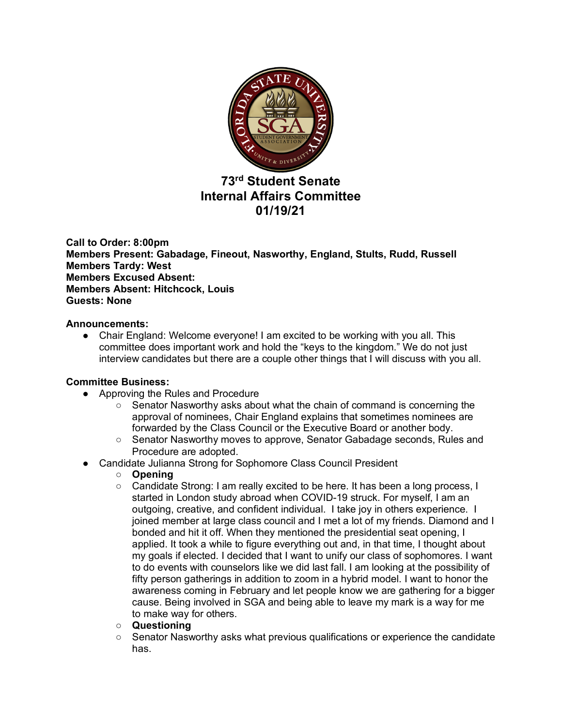

# **73rd Student Senate Internal Affairs Committee 01/19/21**

**Call to Order: 8:00pm Members Present: Gabadage, Fineout, Nasworthy, England, Stults, Rudd, Russell Members Tardy: West Members Excused Absent: Members Absent: Hitchcock, Louis Guests: None**

### **Announcements:**

● Chair England: Welcome everyone! I am excited to be working with you all. This committee does important work and hold the "keys to the kingdom." We do not just interview candidates but there are a couple other things that I will discuss with you all.

# **Committee Business:**

- Approving the Rules and Procedure
	- Senator Nasworthy asks about what the chain of command is concerning the approval of nominees, Chair England explains that sometimes nominees are forwarded by the Class Council or the Executive Board or another body.
	- Senator Nasworthy moves to approve, Senator Gabadage seconds, Rules and Procedure are adopted.
- Candidate Julianna Strong for Sophomore Class Council President
	- **Opening**
	- Candidate Strong: I am really excited to be here. It has been a long process, I started in London study abroad when COVID-19 struck. For myself, I am an outgoing, creative, and confident individual. I take joy in others experience. I joined member at large class council and I met a lot of my friends. Diamond and I bonded and hit it off. When they mentioned the presidential seat opening, I applied. It took a while to figure everything out and, in that time, I thought about my goals if elected. I decided that I want to unify our class of sophomores. I want to do events with counselors like we did last fall. I am looking at the possibility of fifty person gatherings in addition to zoom in a hybrid model. I want to honor the awareness coming in February and let people know we are gathering for a bigger cause. Being involved in SGA and being able to leave my mark is a way for me to make way for others.
	- **Questioning**
	- Senator Nasworthy asks what previous qualifications or experience the candidate has.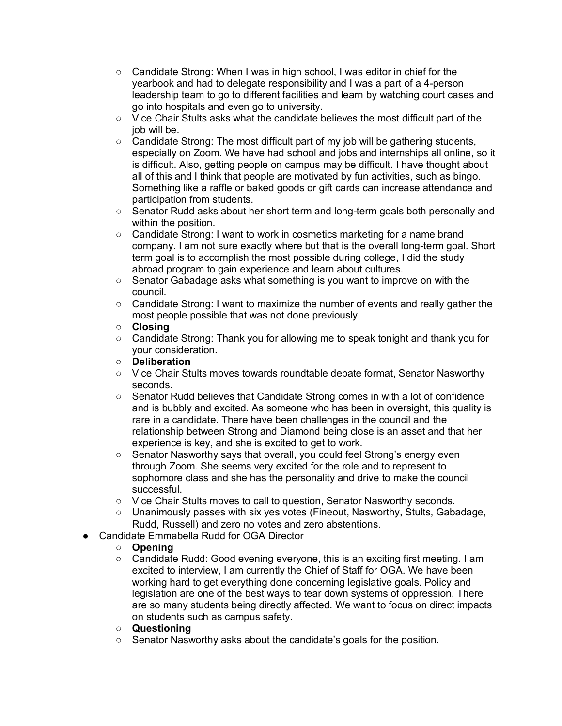- Candidate Strong: When I was in high school, I was editor in chief for the yearbook and had to delegate responsibility and I was a part of a 4-person leadership team to go to different facilities and learn by watching court cases and go into hospitals and even go to university.
- Vice Chair Stults asks what the candidate believes the most difficult part of the iob will be.
- Candidate Strong: The most difficult part of my job will be gathering students, especially on Zoom. We have had school and jobs and internships all online, so it is difficult. Also, getting people on campus may be difficult. I have thought about all of this and I think that people are motivated by fun activities, such as bingo. Something like a raffle or baked goods or gift cards can increase attendance and participation from students.
- Senator Rudd asks about her short term and long-term goals both personally and within the position.
- Candidate Strong: I want to work in cosmetics marketing for a name brand company. I am not sure exactly where but that is the overall long-term goal. Short term goal is to accomplish the most possible during college, I did the study abroad program to gain experience and learn about cultures.
- Senator Gabadage asks what something is you want to improve on with the council.
- Candidate Strong: I want to maximize the number of events and really gather the most people possible that was not done previously.
- **Closing**
- Candidate Strong: Thank you for allowing me to speak tonight and thank you for your consideration.
- **Deliberation**
- Vice Chair Stults moves towards roundtable debate format, Senator Nasworthy seconds.
- Senator Rudd believes that Candidate Strong comes in with a lot of confidence and is bubbly and excited. As someone who has been in oversight, this quality is rare in a candidate. There have been challenges in the council and the relationship between Strong and Diamond being close is an asset and that her experience is key, and she is excited to get to work.
- Senator Nasworthy says that overall, you could feel Strong's energy even through Zoom. She seems very excited for the role and to represent to sophomore class and she has the personality and drive to make the council successful.
- Vice Chair Stults moves to call to question, Senator Nasworthy seconds.
- Unanimously passes with six yes votes (Fineout, Nasworthy, Stults, Gabadage, Rudd, Russell) and zero no votes and zero abstentions.
- Candidate Emmabella Rudd for OGA Director

# ○ **Opening**

- Candidate Rudd: Good evening everyone, this is an exciting first meeting. I am excited to interview, I am currently the Chief of Staff for OGA. We have been working hard to get everything done concerning legislative goals. Policy and legislation are one of the best ways to tear down systems of oppression. There are so many students being directly affected. We want to focus on direct impacts on students such as campus safety.
- **Questioning**
- Senator Nasworthy asks about the candidate's goals for the position.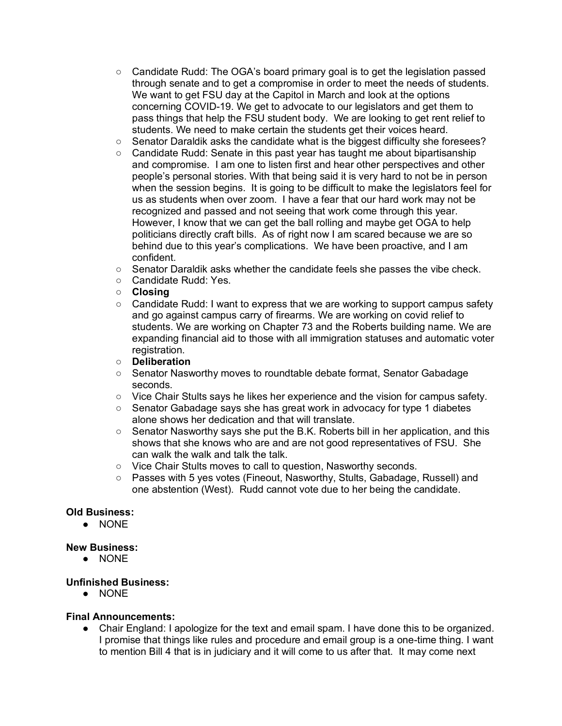- $\circ$  Candidate Rudd: The OGA's board primary goal is to get the legislation passed through senate and to get a compromise in order to meet the needs of students. We want to get FSU day at the Capitol in March and look at the options concerning COVID-19. We get to advocate to our legislators and get them to pass things that help the FSU student body. We are looking to get rent relief to students. We need to make certain the students get their voices heard.
- Senator Daraldik asks the candidate what is the biggest difficulty she foresees?
- $\circ$  Candidate Rudd: Senate in this past year has taught me about bipartisanship and compromise. I am one to listen first and hear other perspectives and other people's personal stories. With that being said it is very hard to not be in person when the session begins. It is going to be difficult to make the legislators feel for us as students when over zoom. I have a fear that our hard work may not be recognized and passed and not seeing that work come through this year. However, I know that we can get the ball rolling and maybe get OGA to help politicians directly craft bills. As of right now I am scared because we are so behind due to this year's complications. We have been proactive, and I am confident.
- $\circ$  Senator Daraldik asks whether the candidate feels she passes the vibe check.
- Candidate Rudd: Yes.
- **Closing**
- Candidate Rudd: I want to express that we are working to support campus safety and go against campus carry of firearms. We are working on covid relief to students. We are working on Chapter 73 and the Roberts building name. We are expanding financial aid to those with all immigration statuses and automatic voter registration.
- **Deliberation**
- Senator Nasworthy moves to roundtable debate format, Senator Gabadage seconds.
- Vice Chair Stults says he likes her experience and the vision for campus safety.
- Senator Gabadage says she has great work in advocacy for type 1 diabetes alone shows her dedication and that will translate.
- Senator Nasworthy says she put the B.K. Roberts bill in her application, and this shows that she knows who are and are not good representatives of FSU. She can walk the walk and talk the talk.
- Vice Chair Stults moves to call to question, Nasworthy seconds.
- Passes with 5 yes votes (Fineout, Nasworthy, Stults, Gabadage, Russell) and one abstention (West). Rudd cannot vote due to her being the candidate.

# **Old Business:**

● NONE

#### **New Business:**

● NONE

# **Unfinished Business:**

● NONE

# **Final Announcements:**

● Chair England: I apologize for the text and email spam. I have done this to be organized. I promise that things like rules and procedure and email group is a one-time thing. I want to mention Bill 4 that is in judiciary and it will come to us after that. It may come next